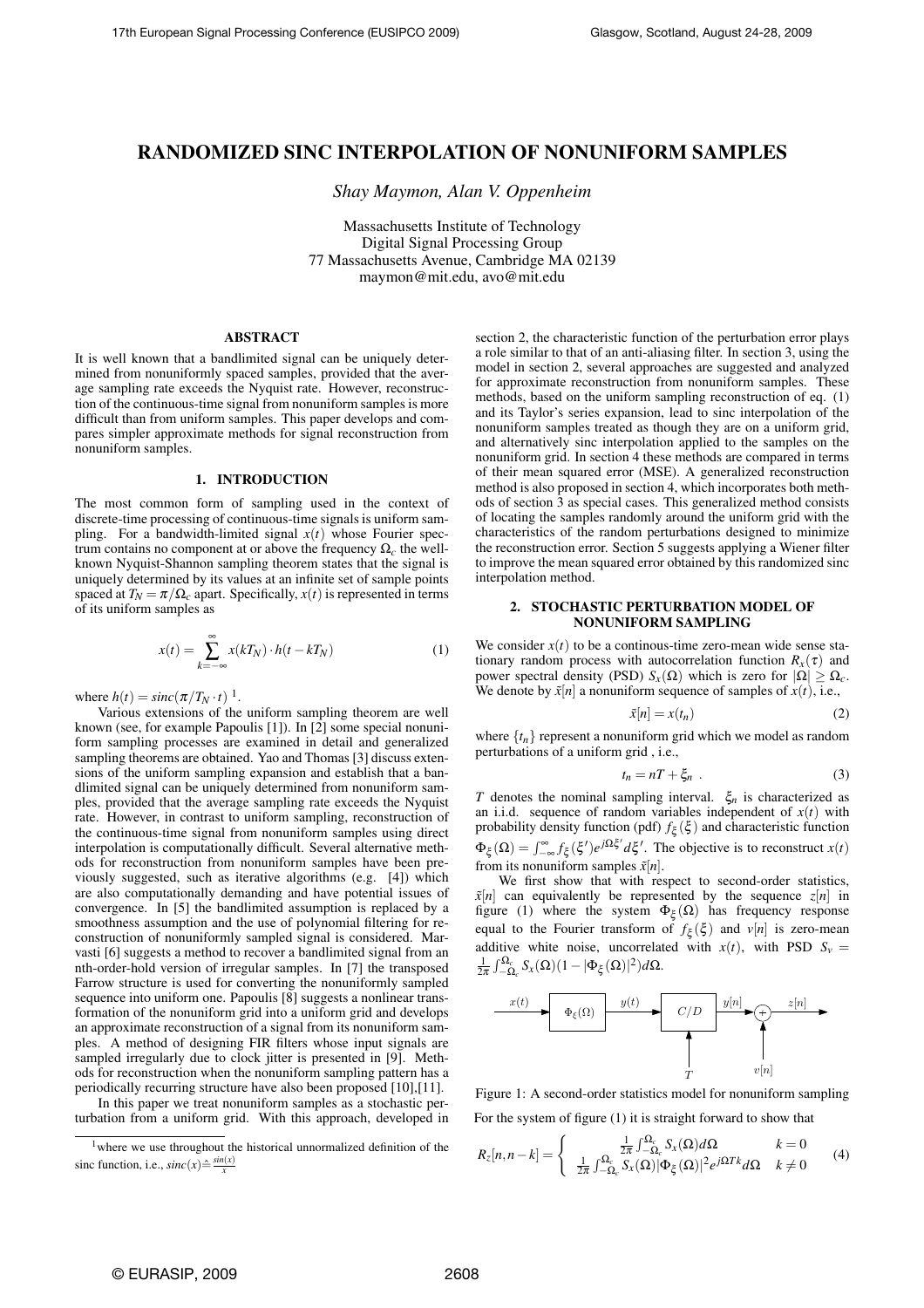# RANDOMIZED SINC INTERPOLATION OF NONUNIFORM SAMPLES

*Shay Maymon, Alan V. Oppenheim*

Massachusetts Institute of Technology Digital Signal Processing Group 77 Massachusetts Avenue, Cambridge MA 02139 maymon@mit.edu, avo@mit.edu

# ABSTRACT

It is well known that a bandlimited signal can be uniquely determined from nonuniformly spaced samples, provided that the average sampling rate exceeds the Nyquist rate. However, reconstruction of the continuous-time signal from nonuniform samples is more difficult than from uniform samples. This paper develops and compares simpler approximate methods for signal reconstruction from nonuniform samples.

## 1. INTRODUCTION

The most common form of sampling used in the context of discrete-time processing of continuous-time signals is uniform sampling. For a bandwidth-limited signal  $x(t)$  whose Fourier spectrum contains no component at or above the frequency Ω*c* the wellknown Nyquist-Shannon sampling theorem states that the signal is uniquely determined by its values at an infinite set of sample points spaced at  $T_N = \pi / \Omega_c$  apart. Specifically,  $x(t)$  is represented in terms of its uniform samples as

$$
x(t) = \sum_{k=-\infty}^{\infty} x(kT_N) \cdot h(t - kT_N)
$$
 (1)

where  $h(t) = sinc(\pi/T_N \cdot t)^{-1}$ .

Various extensions of the uniform sampling theorem are well known (see, for example Papoulis [1]). In [2] some special nonuniform sampling processes are examined in detail and generalized sampling theorems are obtained. Yao and Thomas [3] discuss extensions of the uniform sampling expansion and establish that a bandlimited signal can be uniquely determined from nonuniform samples, provided that the average sampling rate exceeds the Nyquist rate. However, in contrast to uniform sampling, reconstruction of the continuous-time signal from nonuniform samples using direct interpolation is computationally difficult. Several alternative methods for reconstruction from nonuniform samples have been previously suggested, such as iterative algorithms (e.g. [4]) which are also computationally demanding and have potential issues of convergence. In [5] the bandlimited assumption is replaced by a smoothness assumption and the use of polynomial filtering for reconstruction of nonuniformly sampled signal is considered. Marvasti [6] suggests a method to recover a bandlimited signal from an nth-order-hold version of irregular samples. In [7] the transposed Farrow structure is used for converting the nonuniformly sampled sequence into uniform one. Papoulis [8] suggests a nonlinear transformation of the nonuniform grid into a uniform grid and develops an approximate reconstruction of a signal from its nonuniform samples. A method of designing FIR filters whose input signals are sampled irregularly due to clock jitter is presented in [9]. Methods for reconstruction when the nonuniform sampling pattern has a periodically recurring structure have also been proposed [10],[11].

In this paper we treat nonuniform samples as a stochastic perturbation from a uniform grid. With this approach, developed in section 2, the characteristic function of the perturbation error plays a role similar to that of an anti-aliasing filter. In section 3, using the model in section 2, several approaches are suggested and analyzed for approximate reconstruction from nonuniform samples. These methods, based on the uniform sampling reconstruction of eq. (1) and its Taylor's series expansion, lead to sinc interpolation of the nonuniform samples treated as though they are on a uniform grid, and alternatively sinc interpolation applied to the samples on the nonuniform grid. In section 4 these methods are compared in terms of their mean squared error (MSE). A generalized reconstruction method is also proposed in section 4, which incorporates both methods of section 3 as special cases. This generalized method consists of locating the samples randomly around the uniform grid with the characteristics of the random perturbations designed to minimize the reconstruction error. Section 5 suggests applying a Wiener filter to improve the mean squared error obtained by this randomized sinc interpolation method.

# 2. STOCHASTIC PERTURBATION MODEL OF NONUNIFORM SAMPLING

We consider  $x(t)$  to be a continous-time zero-mean wide sense stationary random process with autocorrelation function  $R_x(\tau)$  and power spectral density (PSD)  $S_x(\Omega)$  which is zero for  $|\Omega| \geq \Omega_c$ . We denote by  $\tilde{x}[n]$  a nonuniform sequence of samples of  $x(t)$ , i.e.,

$$
\tilde{x}[n] = x(t_n) \tag{2}
$$

where  $\{t_n\}$  represent a nonuniform grid which we model as random perturbations of a uniform grid , i.e.,

$$
t_n = nT + \xi_n \tag{3}
$$

*T* denotes the nominal sampling interval. ξ*n* is characterized as an i.i.d. sequence of random variables independent of  $x(t)$  with probability density function (pdf)  $f_{\xi}(\xi)$  and characteristic function  $\Phi_{\xi}(\Omega) = \int_{-\infty}^{\infty} f_{\xi}(\xi') e^{j\Omega\xi'} d\xi'$ . The objective is to reconstruct *x*(*t*) from its nonuniform samples  $\tilde{x}[n]$ .

We first show that with respect to second-order statistics,  $\tilde{x}[n]$  can equivalently be represented by the sequence  $z[n]$  in figure (1) where the system  $\Phi_{\xi}(\Omega)$  has frequency response equal to the Fourier transform of  $f_{\xi}(\xi)$  and  $v[n]$  is zero-mean additive white noise, uncorrelated with  $x(t)$ , with PSD  $S_v$  $\frac{1}{2\pi} \int_{-\Omega_c}^{\Omega_c} S_x(\Omega) (1 - |\Phi_{\xi}(\Omega)|^2) d\Omega.$ 



Figure 1: A second-order statistics model for nonuniform sampling For the system of figure (1) it is straight forward to show that

$$
R_{z}[n,n-k] = \begin{cases} \frac{1}{2\pi} \int_{-\Omega_c}^{\Omega_c} S_x(\Omega) d\Omega & k=0\\ \frac{1}{2\pi} \int_{-\Omega_c}^{\Omega_c} S_x(\Omega) |\Phi_{\xi}(\Omega)|^2 e^{j\Omega T k} d\Omega & k \neq 0 \end{cases}
$$
(4)

<sup>&</sup>lt;sup>1</sup>where we use throughout the historical unnormalized definition of the sinc function, i.e.,  $sinc(x) \triangleq \frac{sin(x)}{x}$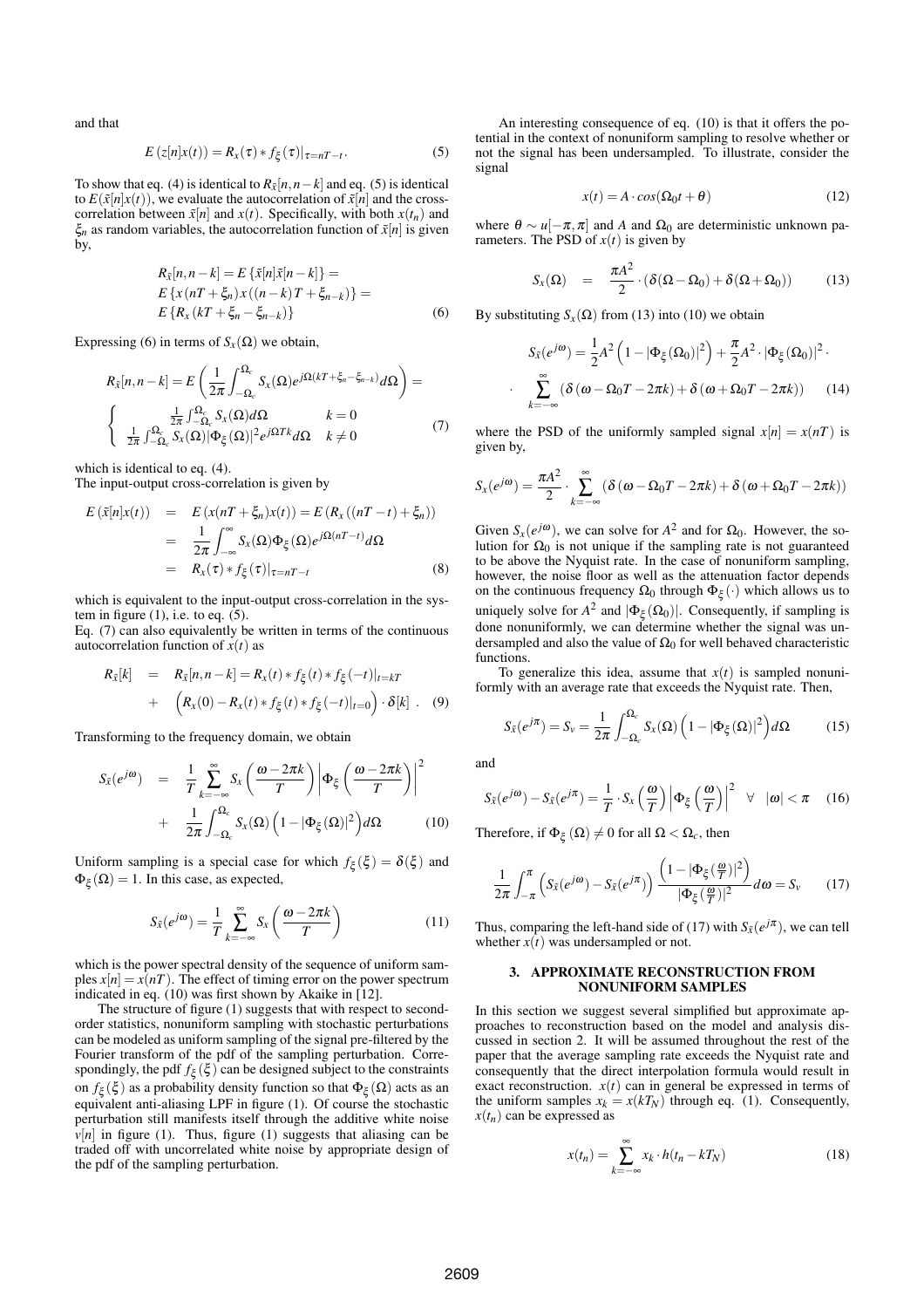and that

$$
E(z[n]x(t)) = R_x(\tau) * f_{\xi}(\tau)|_{\tau = nT - t}.
$$
\n(5)

To show that eq. (4) is identical to  $R_{\tilde{x}}[n, n-k]$  and eq. (5) is identical to  $E(\tilde{x}[n]x(t))$ , we evaluate the autocorrelation of  $\tilde{x}[n]$  and the crosscorrelation between  $\tilde{x}[n]$  and  $x(t)$ . Specifically, with both  $x(t_n)$  and  $\xi_n$  as random variables, the autocorrelation function of  $\tilde{x}[n]$  is given by,

$$
R_{\bar{x}}[n, n-k] = E\left\{\bar{x}[n]\bar{x}[n-k]\right\} =
$$
  
\n
$$
E\left\{x(nT + \xi_n)x((n-k)T + \xi_{n-k})\right\} =
$$
  
\n
$$
E\left\{R_x(kT + \xi_n - \xi_{n-k})\right\}
$$
 (6)

Expressing (6) in terms of  $S_r(\Omega)$  we obtain,

$$
R_{\tilde{x}}[n, n-k] = E\left(\frac{1}{2\pi} \int_{-\Omega_c}^{\Omega_c} S_x(\Omega) e^{j\Omega(kT + \xi_n - \xi_{n-k})} d\Omega\right) =
$$
  

$$
\begin{cases} \frac{1}{2\pi} \int_{-\Omega_c}^{\Omega_c} S_x(\Omega) d\Omega & k = 0\\ \frac{1}{2\pi} \int_{-\Omega_c}^{\Omega_c} S_x(\Omega) |\Phi_{\xi}(\Omega)|^2 e^{j\Omega T k} d\Omega & k \neq 0 \end{cases}
$$
(7)

which is identical to eq. (4).

The input-output cross-correlation is given by

$$
E(\tilde{x}[n]x(t)) = E(x(nT + \xi_n)x(t)) = E(R_x((nT - t) + \xi_n))
$$
  
= 
$$
\frac{1}{2\pi} \int_{-\infty}^{\infty} S_x(\Omega) \Phi_{\xi}(\Omega) e^{j\Omega(nT - t)} d\Omega
$$
  
= 
$$
R_x(\tau) * f_{\xi}(\tau)|_{\tau = nT - t}
$$
(8)

which is equivalent to the input-output cross-correlation in the system in figure  $(1)$ , i.e. to eq.  $(5)$ .

Eq. (7) can also equivalently be written in terms of the continuous autocorrelation function of  $x(t)$  as

$$
R_{\tilde{x}}[k] = R_{\tilde{x}}[n, n-k] = R_x(t) * f_{\xi}(t) * f_{\xi}(-t)|_{t=kT}
$$
  
+ 
$$
(R_x(0) - R_x(t) * f_{\xi}(t) * f_{\xi}(-t)|_{t=0}) \cdot \delta[k]. \quad (9)
$$

Transforming to the frequency domain, we obtain

$$
S_{\tilde{x}}(e^{j\omega}) = \frac{1}{T} \sum_{k=-\infty}^{\infty} S_x \left( \frac{\omega - 2\pi k}{T} \right) \left| \Phi_{\xi} \left( \frac{\omega - 2\pi k}{T} \right) \right|^2
$$
  
+ 
$$
\frac{1}{2\pi} \int_{-\Omega_c}^{\Omega_c} S_x(\Omega) \left( 1 - |\Phi_{\xi}(\Omega)|^2 \right) d\Omega \qquad (10)
$$

Uniform sampling is a special case for which  $f_{\xi}(\xi) = \delta(\xi)$  and  $\Phi_{\xi}(\Omega) = 1$ . In this case, as expected,

$$
S_{\tilde{x}}(e^{j\omega}) = \frac{1}{T} \sum_{k=-\infty}^{\infty} S_x \left( \frac{\omega - 2\pi k}{T} \right)
$$
 (11)

which is the power spectral density of the sequence of uniform samples  $x[n] = x(nT)$ . The effect of timing error on the power spectrum indicated in eq. (10) was first shown by Akaike in [12].

The structure of figure (1) suggests that with respect to secondorder statistics, nonuniform sampling with stochastic perturbations can be modeled as uniform sampling of the signal pre-filtered by the Fourier transform of the pdf of the sampling perturbation. Correspondingly, the pdf  $f_{\xi}(\xi)$  can be designed subject to the constraints on  $f_{\xi}(\xi)$  as a probability density function so that  $\Phi_{\xi}(\Omega)$  acts as an equivalent anti-aliasing LPF in figure (1). Of course the stochastic perturbation still manifests itself through the additive white noise  $\nu[n]$  in figure (1). Thus, figure (1) suggests that aliasing can be traded off with uncorrelated white noise by appropriate design of the pdf of the sampling perturbation.

An interesting consequence of eq. (10) is that it offers the potential in the context of nonuniform sampling to resolve whether or not the signal has been undersampled. To illustrate, consider the signal

$$
x(t) = A \cdot cos(\Omega_0 t + \theta) \tag{12}
$$

where  $θ \sim u[-π, π]$  and *A* and  $Ω_0$  are deterministic unknown parameters. The PSD of  $x(t)$  is given by

$$
S_x(\Omega) = \frac{\pi A^2}{2} \cdot (\delta(\Omega - \Omega_0) + \delta(\Omega + \Omega_0)) \tag{13}
$$

By substituting  $S_{\textbf{x}}(\Omega)$  from (13) into (10) we obtain

$$
S_{\tilde{x}}(e^{j\omega}) = \frac{1}{2}A^2 \left(1 - |\Phi_{\xi}(\Omega_0)|^2\right) + \frac{\pi}{2}A^2 \cdot |\Phi_{\xi}(\Omega_0)|^2.
$$

$$
\sum_{k=-\infty}^{\infty} \left(\delta \left(\omega - \Omega_0 T - 2\pi k\right) + \delta \left(\omega + \Omega_0 T - 2\pi k\right)\right) \tag{14}
$$

where the PSD of the uniformly sampled signal  $x[n] = x(nT)$  is given by,

$$
S_{X}(e^{j\omega}) = \frac{\pi A^2}{2} \cdot \sum_{k=-\infty}^{\infty} (\delta(\omega - \Omega_0 T - 2\pi k) + \delta(\omega + \Omega_0 T - 2\pi k))
$$

Given  $S_x(e^{j\omega})$ , we can solve for  $A^2$  and for  $\Omega_0$ . However, the solution for  $\Omega_0$  is not unique if the sampling rate is not guaranteed to be above the Nyquist rate. In the case of nonuniform sampling, however, the noise floor as well as the attenuation factor depends on the continuous frequency  $\Omega_0$  through  $\Phi_{\xi}(\cdot)$  which allows us to uniquely solve for  $A^2$  and  $|\Phi_{\xi}(\Omega_0)|$ . Consequently, if sampling is done nonuniformly, we can determine whether the signal was undersampled and also the value of  $\Omega_0$  for well behaved characteristic functions.

To generalize this idea, assume that  $x(t)$  is sampled nonuniformly with an average rate that exceeds the Nyquist rate. Then,

$$
S_{\tilde{x}}(e^{j\pi}) = S_{v} = \frac{1}{2\pi} \int_{-\Omega_{c}}^{\Omega_{c}} S_{x}(\Omega) \left(1 - |\Phi_{\xi}(\Omega)|^{2}\right) d\Omega \tag{15}
$$

and

·

$$
S_{\tilde{x}}(e^{j\omega}) - S_{\tilde{x}}(e^{j\pi}) = \frac{1}{T} \cdot S_x\left(\frac{\omega}{T}\right) \left| \Phi_{\xi}\left(\frac{\omega}{T}\right) \right|^2 \quad \forall \quad |\omega| < \pi \quad (16)
$$

Therefore, if  $\Phi_{\xi}(\Omega) \neq 0$  for all  $\Omega < \Omega_c$ , then

$$
\frac{1}{2\pi} \int_{-\pi}^{\pi} \left( S_{\tilde{x}}(e^{j\omega}) - S_{\tilde{x}}(e^{j\pi}) \right) \frac{\left( 1 - |\Phi_{\xi}(\frac{\omega}{T})|^2 \right)}{|\Phi_{\xi}(\frac{\omega}{T})|^2} d\omega = S_{\nu} \tag{17}
$$

Thus, comparing the left-hand side of (17) with  $S_{\tilde{x}}(e^{j\pi})$ , we can tell whether  $x(t)$  was undersampled or not.

## 3. APPROXIMATE RECONSTRUCTION FROM NONUNIFORM SAMPLES

In this section we suggest several simplified but approximate approaches to reconstruction based on the model and analysis discussed in section 2. It will be assumed throughout the rest of the paper that the average sampling rate exceeds the Nyquist rate and consequently that the direct interpolation formula would result in exact reconstruction.  $x(t)$  can in general be expressed in terms of the uniform samples  $x_k = x(kT_N)$  through eq. (1). Consequently,  $x(t_n)$  can be expressed as

$$
x(t_n) = \sum_{k=-\infty}^{\infty} x_k \cdot h(t_n - kT_N)
$$
 (18)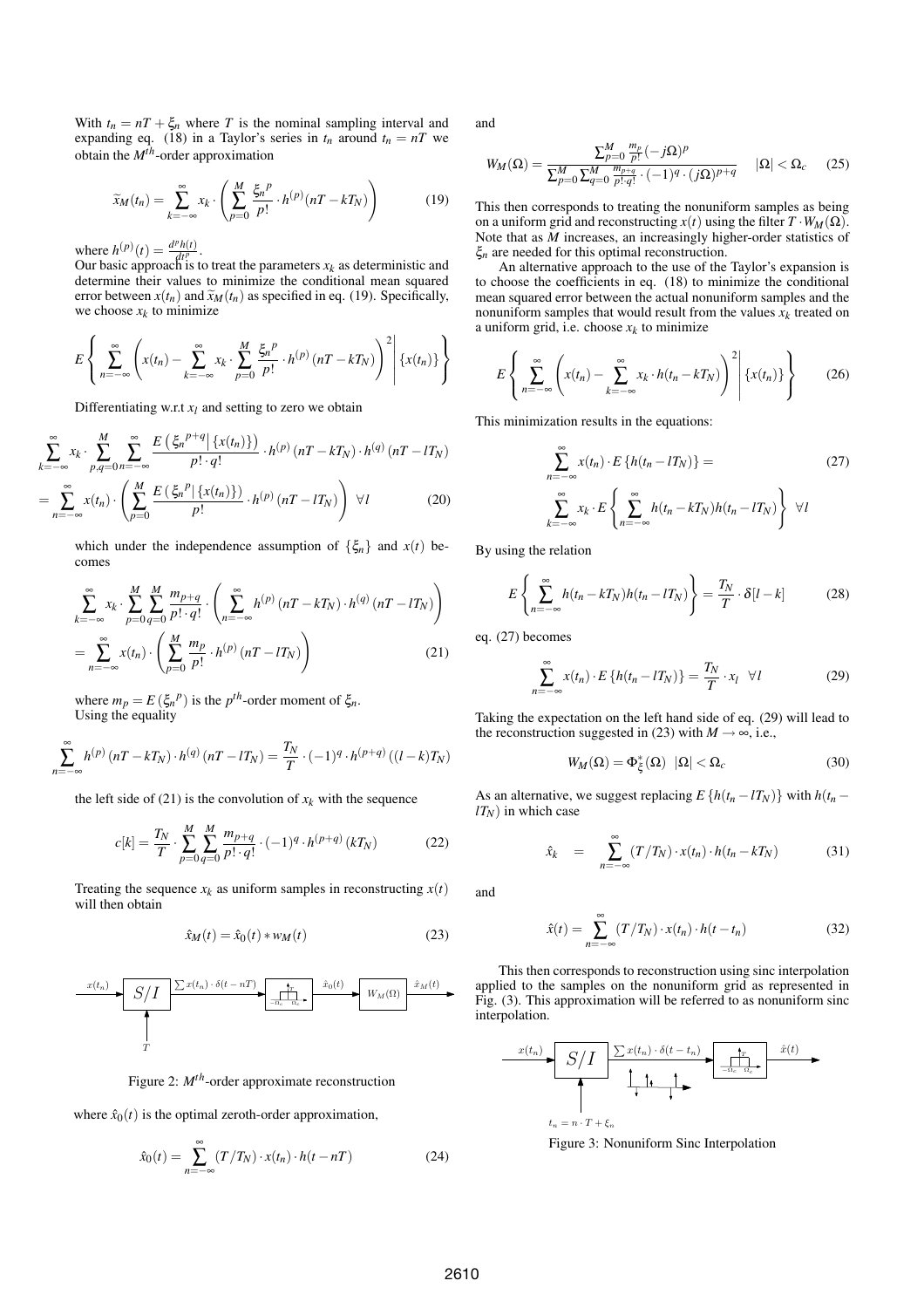With  $t_n = nT + \xi_n$  where T is the nominal sampling interval and expanding eq. (18) in a Taylor's series in  $t_n$  around  $t_n = nT$  we obtain the *Mth*-order approximation

$$
\widetilde{x}_M(t_n) = \sum_{k=-\infty}^{\infty} x_k \cdot \left( \sum_{p=0}^M \frac{\xi_n^p}{p!} \cdot h^{(p)}(nT - kT_N) \right) \tag{19}
$$

where  $h^{(p)}(t) = \frac{d^p h(t)}{dt^p}$ .

Our basic approach is to treat the parameters  $x_k$  as deterministic and determine their values to minimize the conditional mean squared error between  $x(t_n)$  and  $\widetilde{x}_M(t_n)$  as specified in eq. (19). Specifically, we choose  $x_k$  to minimize

$$
E\left\{\sum_{n=-\infty}^{\infty}\left(x(t_n)-\sum_{k=-\infty}^{\infty}x_k\cdot\sum_{p=0}^{M}\frac{\xi_n^p}{p!}\cdot h^{(p)}\left(nT-kT_N\right)\right)^2\middle|\left\{x(t_n)\right\}\right\}
$$

Differentiating w.r.t  $x_l$  and setting to zero we obtain

$$
\sum_{k=-\infty}^{\infty} x_k \cdot \sum_{p,q=0}^{M} \sum_{n=-\infty}^{\infty} \frac{E\left(\xi_n^{p+q} | \{x(t_n)\}\right)}{p! \cdot q!} \cdot h^{(p)}\left(nT - kT_N\right) \cdot h^{(q)}\left(nT - lT_N\right)
$$
\n
$$
= \sum_{n=-\infty}^{\infty} x(t_n) \cdot \left(\sum_{p=0}^{M} \frac{E\left(\xi_n^{p} | \{x(t_n)\}\right)}{p!} \cdot h^{(p)}\left(nT - lT_N\right)\right) \forall l \tag{20}
$$

which under the independence assumption of  $\{\xi_n\}$  and  $x(t)$  becomes

$$
\sum_{k=-\infty}^{\infty} x_k \cdot \sum_{p=0}^{M} \sum_{q=0}^{M} \frac{m_{p+q}}{p! \cdot q!} \cdot \left( \sum_{n=-\infty}^{\infty} h^{(p)} \left( nT - kT_N \right) \cdot h^{(q)} \left( nT - lT_N \right) \right)
$$
\n
$$
= \sum_{n=-\infty}^{\infty} x(t_n) \cdot \left( \sum_{p=0}^{M} \frac{m_p}{p!} \cdot h^{(p)} \left( nT - lT_N \right) \right) \tag{21}
$$

where  $m_p = E(\xi_n^p)$  is the  $p^{th}$ -order moment of  $\xi_n$ . Using the equality

$$
\sum_{n=-\infty}^{\infty} h^{(p)}\left(nT - kT_N\right) \cdot h^{(q)}\left(nT - lT_N\right) = \frac{T_N}{T} \cdot (-1)^q \cdot h^{(p+q)}\left((l-k)T_N\right)
$$

the left side of (21) is the convolution of  $x_k$  with the sequence

$$
c[k] = \frac{T_N}{T} \cdot \sum_{p=0}^{M} \sum_{q=0}^{M} \frac{m_{p+q}}{p! \cdot q!} \cdot (-1)^q \cdot h^{(p+q)}(kT_N)
$$
(22)

Treating the sequence  $x_k$  as uniform samples in reconstructing  $x(t)$ will then obtain

$$
\hat{x}_M(t) = \hat{x}_0(t) * w_M(t) \tag{23}
$$



Figure 2: *Mth*-order approximate reconstruction

where  $\hat{x}_0(t)$  is the optimal zeroth-order approximation,

$$
\hat{x}_0(t) = \sum_{n = -\infty}^{\infty} (T/T_N) \cdot x(t_n) \cdot h(t - nT)
$$
\n(24)

and

$$
W_M(\Omega) = \frac{\sum_{p=0}^{M} \frac{m_p}{p!} (-j\Omega)^p}{\sum_{p=0}^{M} \sum_{q=0}^{M} \frac{m_{p+q}}{p! \cdot q!} \cdot (-1)^q \cdot (j\Omega)^{p+q}} \quad |\Omega| < \Omega_c \quad (25)
$$

This then corresponds to treating the nonuniform samples as being on a uniform grid and reconstructing  $x(t)$  using the filter  $T \cdot W_M(\Omega)$ . Note that as *M* increases, an increasingly higher-order statistics of ξ*n* are needed for this optimal reconstruction.

An alternative approach to the use of the Taylor's expansion is to choose the coefficients in eq. (18) to minimize the conditional mean squared error between the actual nonuniform samples and the nonuniform samples that would result from the values  $x_k$  treated on a uniform grid, i.e. choose  $x_k$  to minimize

$$
E\left\{\sum_{n=-\infty}^{\infty}\left(x(t_n)-\sum_{k=-\infty}^{\infty}x_k\cdot h(t_n-kT_N)\right)^2\middle|\left\{x(t_n)\right\}\right\}\qquad(26)
$$

This minimization results in the equations:

$$
\sum_{n=-\infty}^{\infty} x(t_n) \cdot E\left\{h(t_n - lT_N)\right\} = \tag{27}
$$
\n
$$
\sum_{k=-\infty}^{\infty} x_k \cdot E\left\{\sum_{n=-\infty}^{\infty} h(t_n - kT_N)h(t_n - lT_N)\right\} \quad \forall l
$$

By using the relation

$$
E\left\{\sum_{n=-\infty}^{\infty} h(t_n - kT_N)h(t_n - lT_N)\right\} = \frac{T_N}{T} \cdot \delta[l - k]
$$
 (28)

eq. (27) becomes

$$
\sum_{n=-\infty}^{\infty} x(t_n) \cdot E\left\{h(t_n - lT_N)\right\} = \frac{T_N}{T} \cdot x_l \quad \forall l \tag{29}
$$

Taking the expectation on the left hand side of eq. (29) will lead to the reconstruction suggested in (23) with  $M \rightarrow \infty$ , i.e.,

$$
W_M(\Omega) = \Phi_{\xi}^*(\Omega) \quad |\Omega| < \Omega_c \tag{30}
$$

As an alternative, we suggest replacing  $E\{h(t_n - lT_N)\}\$  with  $h(t_n - lT_N)$  $lT_N$ ) in which case

$$
\hat{x}_k = \sum_{n=-\infty}^{\infty} (T/T_N) \cdot x(t_n) \cdot h(t_n - kT_N)
$$
 (31)

and

$$
\hat{x}(t) = \sum_{n = -\infty}^{\infty} (T/T_N) \cdot x(t_n) \cdot h(t - t_n)
$$
\n(32)

This then corresponds to reconstruction using sinc interpolation applied to the samples on the nonuniform grid as represented in Fig. (3). This approximation will be referred to as nonuniform sinc interpolation.



Figure 3: Nonuniform Sinc Interpolation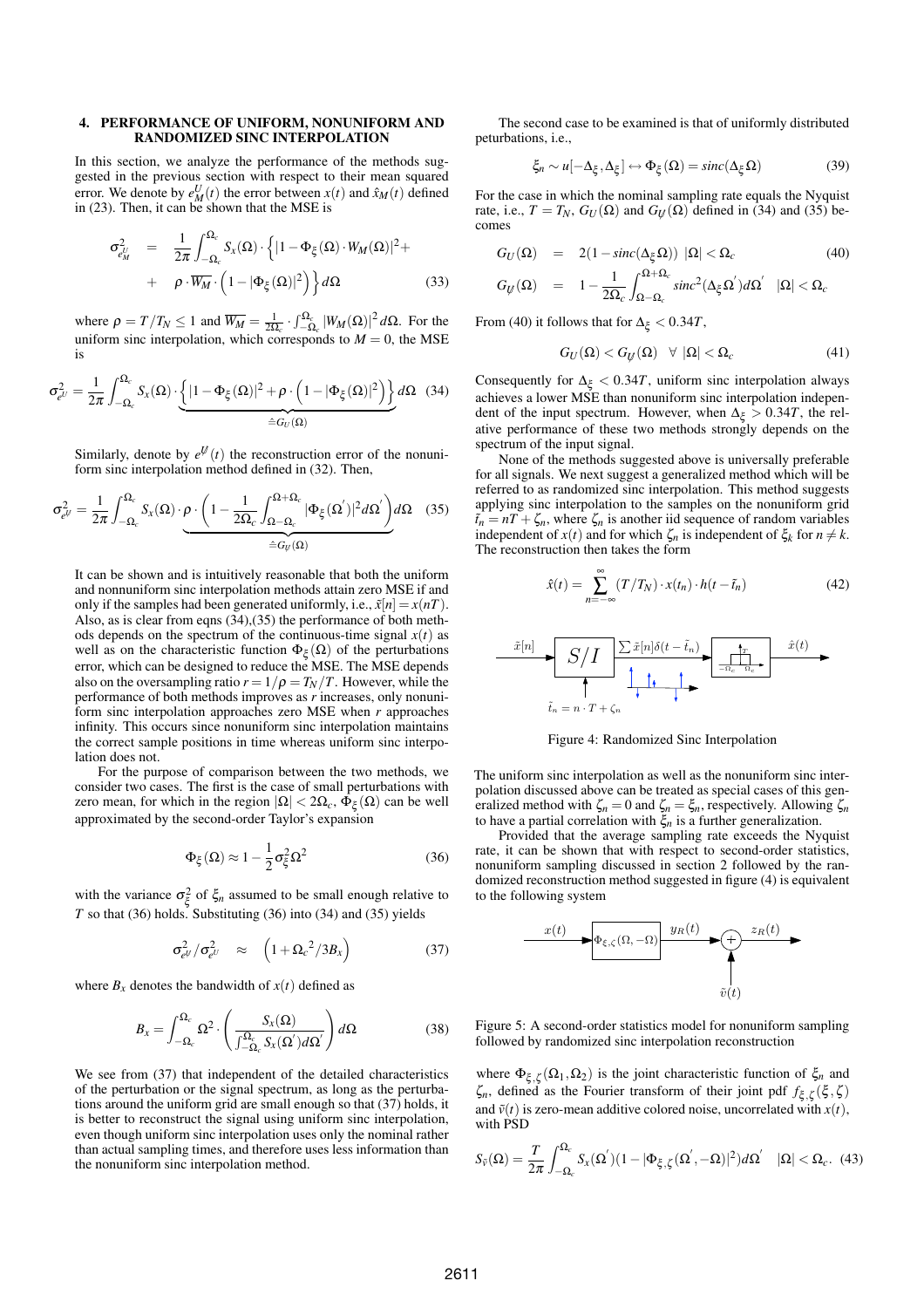### 4. PERFORMANCE OF UNIFORM, NONUNIFORM AND RANDOMIZED SINC INTERPOLATION

In this section, we analyze the performance of the methods suggested in the previous section with respect to their mean squared error. We denote by  $e_M^U(t)$  the error between  $x(t)$  and  $\hat{x}_M(t)$  defined in (23). Then, it can be shown that the MSE is

$$
\sigma_{e_M^U}^2 = \frac{1}{2\pi} \int_{-\Omega_c}^{\Omega_c} S_x(\Omega) \cdot \left\{ |1 - \Phi_{\xi}(\Omega) \cdot W_M(\Omega)|^2 + \right. \\
\left. + \rho \cdot \overline{W_M} \cdot \left( 1 - |\Phi_{\xi}(\Omega)|^2 \right) \right\} d\Omega \tag{33}
$$

where  $\rho = T/T_N \le 1$  and  $\overline{W_M} = \frac{1}{2\Omega_c} \cdot \int_{-\Omega_c}^{\Omega_c} |W_M(\Omega)|^2 d\Omega$ . For the uniform sinc interpolation, which corresponds to  $M = 0$ , the MSE is

$$
\sigma_{e^{U}}^{2} = \frac{1}{2\pi} \int_{-\Omega_{c}}^{\Omega_{c}} S_{X}(\Omega) \cdot \underbrace{\left\{|1 - \Phi_{\xi}(\Omega)|^{2} + \rho \cdot \left(1 - |\Phi_{\xi}(\Omega)|^{2}\right)\right\}}_{\triangleq G_{U}(\Omega)} d\Omega \quad (34)
$$

Similarly, denote by  $e^{\psi}(t)$  the reconstruction error of the nonuniform sinc interpolation method defined in (32). Then,

$$
\sigma_{e^{i\theta}}^2 = \frac{1}{2\pi} \int_{-\Omega_c}^{\Omega_c} S_x(\Omega) \cdot \underbrace{\rho \cdot \left(1 - \frac{1}{2\Omega_c} \int_{\Omega - \Omega_c}^{\Omega + \Omega_c} |\Phi_{\xi}(\Omega')|^2 d\Omega'}_{\hat{=} G_{\mathcal{Y}}(\Omega)} d\Omega \quad (35)
$$

It can be shown and is intuitively reasonable that both the uniform and nonnuniform sinc interpolation methods attain zero MSE if and only if the samples had been generated uniformly, i.e.,  $\tilde{x}[n] = x(nT)$ . Also, as is clear from eqns (34),(35) the performance of both methods depends on the spectrum of the continuous-time signal  $x(t)$  as well as on the characteristic function  $\Phi_{\xi}(\Omega)$  of the perturbations error, which can be designed to reduce the MSE. The MSE depends also on the oversampling ratio  $r = 1/\rho = T_N/T$ . However, while the performance of both methods improves as *r* increases, only nonuniform sinc interpolation approaches zero MSE when *r* approaches infinity. This occurs since nonuniform sinc interpolation maintains the correct sample positions in time whereas uniform sinc interpolation does not.

For the purpose of comparison between the two methods, we consider two cases. The first is the case of small perturbations with zero mean, for which in the region  $|\Omega| < 2\Omega_c$ ,  $\Phi_{\xi}(\Omega)$  can be well approximated by the second-order Taylor's expansion

$$
\Phi_{\xi}(\Omega) \approx 1 - \frac{1}{2}\sigma_{\xi}^{2}\Omega^{2}
$$
 (36)

with the variance  $\sigma_{\xi}^2$  of  $\xi_n$  assumed to be small enough relative to *T* so that (36) holds. Substituting (36) into (34) and (35) yields

$$
\sigma_{e^{U}}^{2}/\sigma_{e^{U}}^{2} \approx \left(1+\Omega_{c}^{2}/3B_{x}\right)
$$
 (37)

where  $B_x$  denotes the bandwidth of  $x(t)$  defined as

$$
B_x = \int_{-\Omega_c}^{\Omega_c} \Omega^2 \cdot \left( \frac{S_x(\Omega)}{\int_{-\Omega_c}^{\Omega_c} S_x(\Omega') d\Omega'} \right) d\Omega \tag{38}
$$

We see from  $(37)$  that independent of the detailed characteristics of the perturbation or the signal spectrum, as long as the perturbations around the uniform grid are small enough so that (37) holds, it is better to reconstruct the signal using uniform sinc interpolation, even though uniform sinc interpolation uses only the nominal rather than actual sampling times, and therefore uses less information than the nonuniform sinc interpolation method.

The second case to be examined is that of uniformly distributed peturbations, i.e.,

$$
\xi_n \sim u[-\Delta_{\xi}, \Delta_{\xi}] \leftrightarrow \Phi_{\xi}(\Omega) = sinc(\Delta_{\xi}\Omega)
$$
 (39)

For the case in which the nominal sampling rate equals the Nyquist rate, i.e.,  $T = T_N$ ,  $G_U(\Omega)$  and  $G_U(\Omega)$  defined in (34) and (35) becomes

$$
G_U(\Omega) = 2(1 - sinc(\Delta_{\xi}\Omega)) |\Omega| < \Omega_c \tag{40}
$$

$$
G_{\mathcal{Y}}(\Omega) = 1 - \frac{1}{2\Omega_c} \int_{\Omega - \Omega_c}^{\Omega + \Omega_c} sinc^2(\Delta_{\xi}\Omega^{'})d\Omega^{'} \quad |\Omega| < \Omega_c
$$

From (40) it follows that for  $\Delta_{\xi} < 0.34T$ ,

$$
G_U(\Omega) < G_U(\Omega) \quad \forall \ |\Omega| < \Omega_c \tag{41}
$$

Consequently for  $\Delta_{\xi}$  < 0.34*T*, uniform sinc interpolation always achieves a lower MSE than nonuniform sinc interpolation independent of the input spectrum. However, when  $\Delta_{\xi} > 0.34T$ , the relative performance of these two methods strongly depends on the spectrum of the input signal.

None of the methods suggested above is universally preferable for all signals. We next suggest a generalized method which will be referred to as randomized sinc interpolation. This method suggests applying sinc interpolation to the samples on the nonuniform grid  $\tilde{t}_n = nT + \zeta_n$ , where  $\zeta_n$  is another iid sequence of random variables independent of  $x(t)$  and for which  $\zeta_n$  is independent of  $\xi_k$  for  $n \neq k$ . The reconstruction then takes the form

$$
\hat{x}(t) = \sum_{n = -\infty}^{\infty} (T/T_N) \cdot x(t_n) \cdot h(t - \tilde{t}_n)
$$
\n(42)



Figure 4: Randomized Sinc Interpolation

The uniform sinc interpolation as well as the nonuniform sinc interpolation discussed above can be treated as special cases of this generalized method with  $\zeta_n = 0$  and  $\zeta_n = \xi_n$ , respectively. Allowing  $\zeta_n$ to have a partial correlation with ξ*n* is a further generalization.

Provided that the average sampling rate exceeds the Nyquist rate, it can be shown that with respect to second-order statistics, nonuniform sampling discussed in section 2 followed by the randomized reconstruction method suggested in figure (4) is equivalent to the following system



Figure 5: A second-order statistics model for nonuniform sampling followed by randomized sinc interpolation reconstruction

where  $\Phi_{\xi,\zeta}(\Omega_1,\Omega_2)$  is the joint characteristic function of  $\xi_n$  and ζ*n*, defined as the Fourier transform of their joint pdf *f*<sup>ξ</sup> *,*<sup>ζ</sup> (ξ *,*ζ ) and  $\tilde{v}(t)$  is zero-mean additive colored noise, uncorrelated with  $x(t)$ , with PSD

$$
S_{\tilde{v}}(\Omega) = \frac{T}{2\pi} \int_{-\Omega_c}^{\Omega_c} S_x(\Omega^{'}) (1 - |\Phi_{\xi,\zeta}(\Omega^{'}, -\Omega)|^2) d\Omega^{'} \quad |\Omega| < \Omega_c. \tag{43}
$$